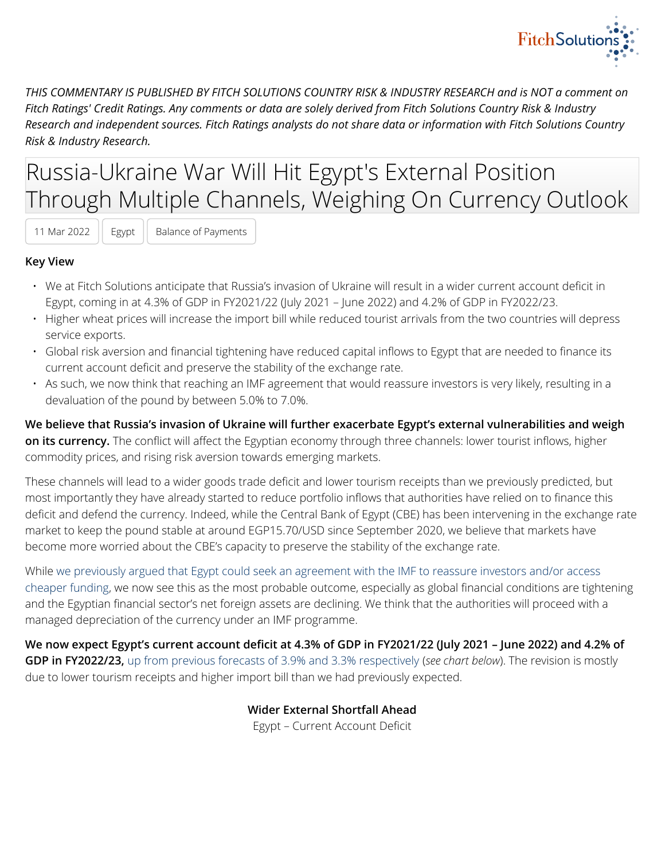

*THIS COMMENTARY IS PUBLISHED BY FITCH SOLUTIONS COUNTRY RISK & INDUSTRY RESEARCH and is NOT a comment on Fitch Ratings' Credit Ratings. Any comments or data are solely derived from Fitch Solutions Country Risk & Industry Research and independent sources. Fitch Ratings analysts do not share data or information with Fitch Solutions Country Risk & Industry Research.*

# Russia-Ukraine War Will Hit Egypt's External Position Through Multiple Channels, Weighing On Currency Outlook

11 Mar 2022 | Egypt | Balance of Payments

#### **Key View**

- We at Fitch Solutions anticipate that Russia's invasion of Ukraine will result in a wider current account deficit in Egypt, coming in at 4.3% of GDP in FY2021/22 (July 2021 – June 2022) and 4.2% of GDP in FY2022/23.
- Higher wheat prices will increase the import bill while reduced tourist arrivals from the two countries will depress service exports.
- Global risk aversion and financial tightening have reduced capital inflows to Egypt that are needed to finance its current account deficit and preserve the stability of the exchange rate.
- As such, we now think that reaching an IMF agreement that would reassure investors is very likely, resulting in a devaluation of the pound by between 5.0% to 7.0%.

**We believe that Russia's invasion of Ukraine will further exacerbate Egypt's external vulnerabilities and weigh on its currency.** The conflict will affect the Egyptian economy through three channels: lower tourist inflows, higher commodity prices, and rising risk aversion towards emerging markets.

These channels will lead to a wider goods trade deficit and lower tourism receipts than we previously predicted, but most importantly they have already started to reduce portfolio inflows that authorities have relied on to finance this deficit and defend the currency. Indeed, while the Central Bank of Egypt (CBE) has been intervening in the exchange rate market to keep the pound stable at around EGP15.70/USD since September 2020, we believe that markets have become more worried about the CBE's capacity to preserve the stability of the exchange rate.

While [we previously argued that Egypt could seek an agreement with the IMF to reassure investors and/or access](https://app.fitchconnect.com/article/BMI_97157CB4-38AF-48C4-BEC3-E0E3BAE710AC) [cheaper funding](https://app.fitchconnect.com/article/BMI_97157CB4-38AF-48C4-BEC3-E0E3BAE710AC), we now see this as the most probable outcome, especially as global financial conditions are tightening and the Egyptian financial sector's net foreign assets are declining. We think that the authorities will proceed with a managed depreciation of the currency under an IMF programme.

**We now expect Egypt's current account deficit at 4.3% of GDP in FY2021/22 (July 2021 – June 2022) and 4.2% of GDP in FY2022/23,** [up from previous forecasts of 3.9% and 3.3% respectively](https://app.fitchconnect.com/article/BMI_C66F2A33-53B3-430F-B3E8-26093FAC74B6) (*see chart below*). The revision is mostly due to lower tourism receipts and higher import bill than we had previously expected.

> **Wider External Shortfall Ahead** Egypt – Current Account Deficit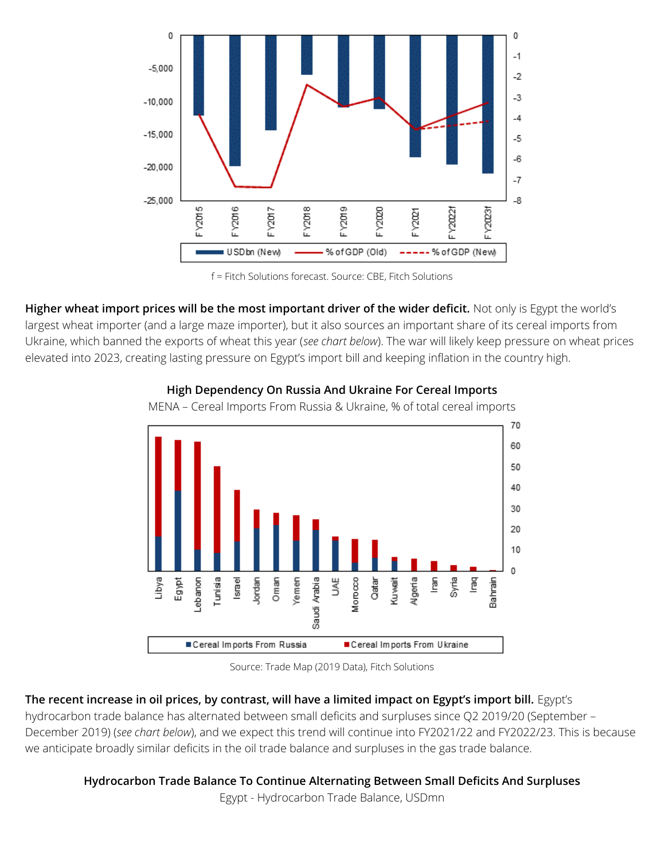

f = Fitch Solutions forecast. Source: CBE, Fitch Solutions

**Higher wheat import prices will be the most important driver of the wider deficit.** Not only is Egypt the world's largest wheat importer (and a large maze importer), but it also sources an important share of its cereal imports from Ukraine, which banned the exports of wheat this year (*see chart below*). The war will likely keep pressure on wheat prices elevated into 2023, creating lasting pressure on Egypt's import bill and keeping inflation in the country high.



### **High Dependency On Russia And Ukraine For Cereal Imports**

MENA – Cereal Imports From Russia & Ukraine, % of total cereal imports

Source: Trade Map (2019 Data), Fitch Solutions

## **The recent increase in oil prices, by contrast, will have a limited impact on Egypt's import bill.** Egypt's

hydrocarbon trade balance has alternated between small deficits and surpluses since Q2 2019/20 (September – December 2019) (*see chart below*), and we expect this trend will continue into FY2021/22 and FY2022/23. This is because we anticipate broadly similar deficits in the oil trade balance and surpluses in the gas trade balance.

## **Hydrocarbon Trade Balance To Continue Alternating Between Small Deficits And Surpluses**

Egypt - Hydrocarbon Trade Balance, USDmn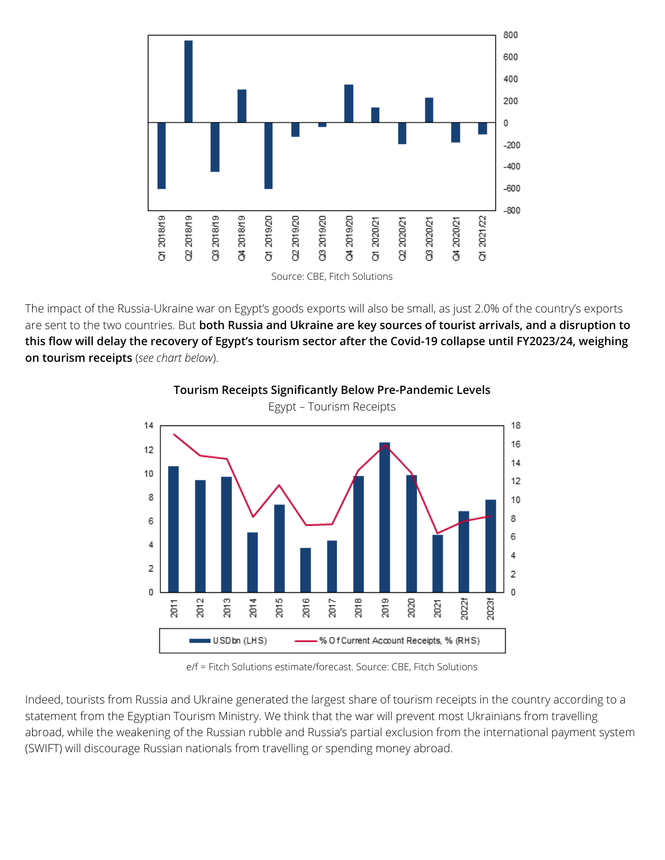

The impact of the Russia-Ukraine war on Egypt's goods exports will also be small, as just 2.0% of the country's exports are sent to the two countries. But **both Russia and Ukraine are key sources of tourist arrivals, and a disruption to this flow will delay the recovery of Egypt's tourism sector after the Covid-19 collapse until FY2023/24, weighing on tourism receipts** (*see chart below*).



**Tourism Receipts Significantly Below Pre-Pandemic Levels**

e/f = Fitch Solutions estimate/forecast. Source: CBE, Fitch Solutions

Indeed, tourists from Russia and Ukraine generated the largest share of tourism receipts in the country according to a statement from the Egyptian Tourism Ministry. We think that the war will prevent most Ukrainians from travelling abroad, while the weakening of the Russian rubble and Russia's partial exclusion from the international payment system (SWIFT) will discourage Russian nationals from travelling or spending money abroad.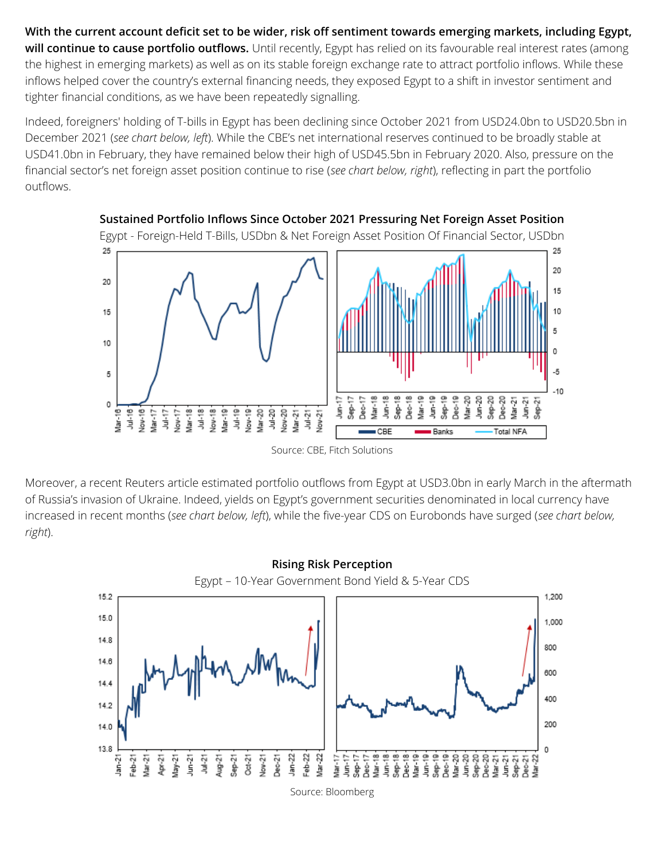**With the current account deficit set to be wider, risk off sentiment towards emerging markets, including Egypt,** will continue to cause portfolio outflows. Until recently, Egypt has relied on its favourable real interest rates (among the highest in emerging markets) as well as on its stable foreign exchange rate to attract portfolio inflows. While these inflows helped cover the country's external financing needs, they exposed Egypt to a shift in investor sentiment and tighter financial conditions, as we have been repeatedly signalling.

Indeed, foreigners' holding of T-bills in Egypt has been declining since October 2021 from USD24.0bn to USD20.5bn in December 2021 (*see chart below, left*). While the CBE's net international reserves continued to be broadly stable at USD41.0bn in February, they have remained below their high of USD45.5bn in February 2020. Also, pressure on the financial sector's net foreign asset position continue to rise (*see chart below, right*), reflecting in part the portfolio outflows.



Source: CBE, Fitch Solutions

Moreover, a recent Reuters article estimated portfolio outflows from Egypt at USD3.0bn in early March in the aftermath of Russia's invasion of Ukraine. Indeed, yields on Egypt's government securities denominated in local currency have increased in recent months (*see chart below, left*), while the five-year CDS on Eurobonds have surged (*see chart below, right*).